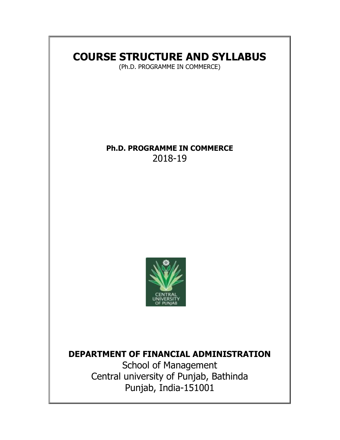# **COURSE STRUCTURE AND SYLLABUS**

(Ph.D. PROGRAMME IN COMMERCE)

# **Ph.D. PROGRAMME IN COMMERCE**  2018-19



# **DEPARTMENT OF FINANCIAL ADMINISTRATION**

School of Management Central university of Punjab, Bathinda Punjab, India-151001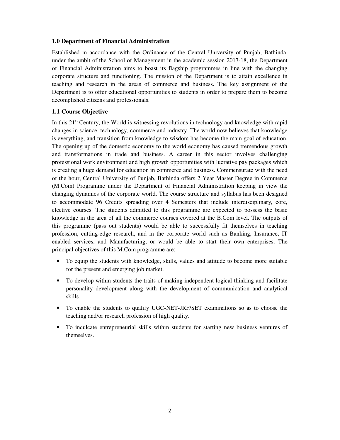### **1.0 Department of Financial Administration**

Established in accordance with the Ordinance of the Central University of Punjab, Bathinda, under the ambit of the School of Management in the academic session 2017-18, the Department of Financial Administration aims to boast its flagship programmes in line with the changing corporate structure and functioning. The mission of the Department is to attain excellence in teaching and research in the areas of commerce and business. The key assignment of the Department is to offer educational opportunities to students in order to prepare them to become accomplished citizens and professionals.

# **1.1 Course Objective**

In this 21<sup>st</sup> Century, the World is witnessing revolutions in technology and knowledge with rapid changes in science, technology, commerce and industry. The world now believes that knowledge is everything, and transition from knowledge to wisdom has become the main goal of education. The opening up of the domestic economy to the world economy has caused tremendous growth and transformations in trade and business. A career in this sector involves challenging professional work environment and high growth opportunities with lucrative pay packages which is creating a huge demand for education in commerce and business. Commensurate with the need of the hour, Central University of Punjab, Bathinda offers 2 Year Master Degree in Commerce (M.Com) Programme under the Department of Financial Administration keeping in view the changing dynamics of the corporate world. The course structure and syllabus has been designed to accommodate 96 Credits spreading over 4 Semesters that include interdisciplinary, core, elective courses. The students admitted to this programme are expected to possess the basic knowledge in the area of all the commerce courses covered at the B.Com level. The outputs of this programme (pass out students) would be able to successfully fit themselves in teaching profession, cutting-edge research, and in the corporate world such as Banking, Insurance, IT enabled services, and Manufacturing, or would be able to start their own enterprises. The principal objectives of this M.Com programme are:

- To equip the students with knowledge, skills, values and attitude to become more suitable for the present and emerging job market.
- To develop within students the traits of making independent logical thinking and facilitate personality development along with the development of communication and analytical skills.
- To enable the students to qualify UGC-NET-JRF/SET examinations so as to choose the teaching and/or research profession of high quality.
- To inculcate entrepreneurial skills within students for starting new business ventures of themselves.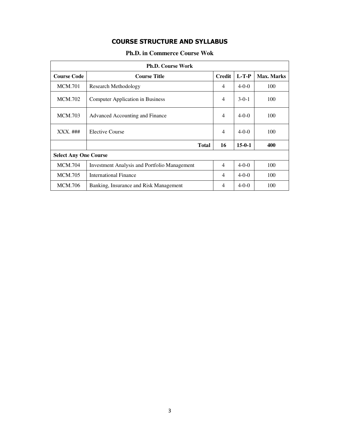# **COURSE STRUCTURE AND SYLLABUS**

| <b>Ph.D. in Commerce Course Wok</b> |  |
|-------------------------------------|--|
|-------------------------------------|--|

| <b>Ph.D. Course Work</b>                                              |                                         |                |              |            |  |
|-----------------------------------------------------------------------|-----------------------------------------|----------------|--------------|------------|--|
| <b>Course Code</b>                                                    | <b>Course Title</b>                     |                |              | Max. Marks |  |
| <b>MCM.701</b>                                                        | Research Methodology                    |                |              | 100        |  |
| <b>MCM.702</b>                                                        | <b>Computer Application in Business</b> |                |              | 100        |  |
| <b>MCM.703</b>                                                        | Advanced Accounting and Finance         |                |              | 100        |  |
| $XXX.$ ###                                                            | Elective Course                         | $\overline{4}$ | $4-0-0$      | 100        |  |
|                                                                       | <b>Total</b>                            | 16             | $15 - 0 - 1$ | 400        |  |
| <b>Select Any One Course</b>                                          |                                         |                |              |            |  |
| <b>MCM.704</b><br><b>Investment Analysis and Portfolio Management</b> |                                         | $\overline{4}$ | $4-0-0$      | 100        |  |
| <b>MCM.705</b>                                                        | <b>International Finance</b>            | 4              | $4 - 0 - 0$  | 100        |  |
| <b>MCM.706</b>                                                        | Banking, Insurance and Risk Management  | 4              | $4 - 0 - 0$  | 100        |  |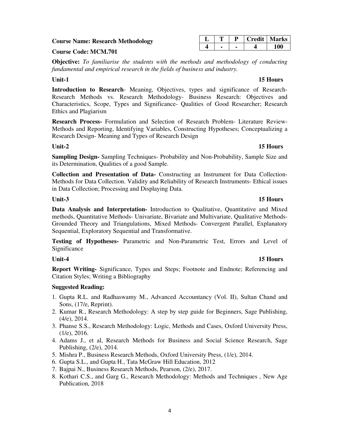| ۰, | ٠ |  |
|----|---|--|
|    | ٠ |  |

### **Course Name: Research Methodology**

# **Course Code: MCM.701**

**Objective:** *To familiarise the students with the methods and methodology of conducting fundamental and empirical research in the fields of business and industry.* 

### Unit-1 15 Hours **15 Hours**

**Introduction to Research**- Meaning, Objectives, types and significance of Research-Research Methods vs. Research Methodology- Business Research: Objectives and Characteristics, Scope, Types and Significance- Qualities of Good Researcher; Research Ethics and Plagiarism

**Research Process-** Formulation and Selection of Research Problem- Literature Review-Methods and Reporting, Identifying Variables, Constructing Hypotheses; Conceptualizing a Research Design- Meaning and Types of Research Design

**Sampling Design-** Sampling Techniques- Probability and Non-Probability, Sample Size and its Determination, Qualities of a good Sample.

**Collection and Presentation of Data-** Constructing an Instrument for Data Collection-Methods for Data Collection. Validity and Reliability of Research Instruments- Ethical issues in Data Collection; Processing and Displaying Data.

**Data Analysis and Interpretation-** Introduction to Qualitative, Quantitative and Mixed methods, Quantitative Methods- Univariate, Bivariate and Multivariate, Qualitative Methods-Grounded Theory and Triangulations, Mixed Methods- Convergent Parallel, Explanatory Sequential, Exploratory Sequential and Transformative.

**Testing of Hypotheses-** Parametric and Non-Parametric Test, Errors and Level of Significance

**Report Writing-** Significance, Types and Steps; Footnote and Endnote; Referencing and Citation Styles; Writing a Bibliography

# **Suggested Reading:**

- 1. Gupta R.L. and Radhaswamy M., Advanced Accountancy (Vol. II), Sultan Chand and Sons, (17/e, Reprint).
- 2. Kumar R., Research Methodology: A step by step guide for Beginners, Sage Publishing, (4/e), 2014.
- 3. Phanse S.S., Research Methodology: Logic, Methods and Cases, Oxford University Press, (1/e), 2016.
- 4. Adams J., et al, Research Methods for Business and Social Science Research, Sage Publishing, (2/e), 2014.
- 5. Mishra P., Business Research Methods, Oxford University Press, (1/e), 2014.
- 6. Gupta S.L., and Gupta H., Tata McGraw Hill Education, 2012
- 7. Bajpai N., Business Research Methods, Pearson, (2/e), 2017.
- 8. Kothari C.S., and Garg G., Research Methodology: Methods and Techniques , New Age Publication, 2018

# **L T P Credit Marks 4 - - 4 100**

# **Unit-3** 15 Hours

# Unit-4 15 Hours

# **Unit-2 15 Hours**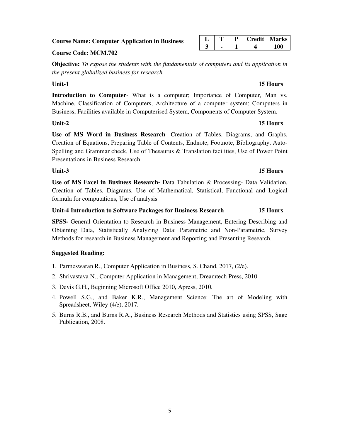### **Course Name: Computer Application in Business**

### **Course Code: MCM.702**

**Objective:** *To expose the students with the fundamentals of computers and its application in the present globalized business for research.* 

### Unit-1 15 Hours **15 Hours**

**Introduction to Computer**- What is a computer; Importance of Computer, Man vs. Machine, Classification of Computers, Architecture of a computer system; Computers in Business, Facilities available in Computerised System, Components of Computer System.

### **Unit-2 15 Hours**

**Use of MS Word in Business Research**- Creation of Tables, Diagrams, and Graphs, Creation of Equations, Preparing Table of Contents, Endnote, Footnote, Bibliography, Auto-Spelling and Grammar check, Use of Thesaurus & Translation facilities, Use of Power Point Presentations in Business Research.

# **Unit-3** 15 Hours

**Use of MS Excel in Business Research-** Data Tabulation & Processing- Data Validation, Creation of Tables, Diagrams, Use of Mathematical, Statistical, Functional and Logical formula for computations, Use of analysis

### **Unit-4 Introduction to Software Packages for Business Research 15 Hours**

**SPSS-** General Orientation to Research in Business Management, Entering Describing and Obtaining Data, Statistically Analyzing Data: Parametric and Non-Parametric, Survey Methods for research in Business Management and Reporting and Presenting Research.

### **Suggested Reading:**

- 1. Parmeswaran R., Computer Application in Business, S. Chand, 2017, (2/e).
- 2. Shrivastava N., Computer Application in Management, Dreamtech Press, 2010
- 3. Devis G.H., Beginning Microsoft Office 2010, Apress, 2010.
- 4. Powell S.G., and Baker K.R., Management Science: The art of Modeling with Spreadsheet, Wiley (4/e), 2017.
- 5. Burns R.B., and Burns R.A., Business Research Methods and Statistics using SPSS, Sage Publication, 2008.

|  |  | Credit   Marks |
|--|--|----------------|
|  |  |                |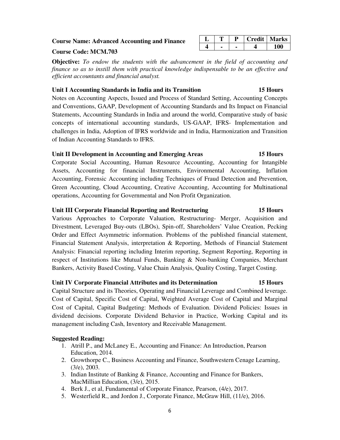### **Course Name: Advanced Accounting and Finance**

### **Course Code: MCM.703**

**Objective:** *To endow the students with the advancement in the field of accounting and finance so as to instill them with practical knowledge indispensable to be an effective and efficient accountants and financial analyst.* 

### **Unit I Accounting Standards in India and its Transition 15 Hours**

Notes on Accounting Aspects, Issued and Process of Standard Setting, Accounting Concepts and Conventions, GAAP, Development of Accounting Standards and Its Impact on Financial Statements, Accounting Standards in India and around the world, Comparative study of basic concepts of international accounting standards, US-GAAP, IFRS- Implementation and challenges in India, Adoption of IFRS worldwide and in India, Harmonization and Transition of Indian Accounting Standards to IFRS.

### **Unit II Development in Accounting and Emerging Areas 15 Hours**

Corporate Social Accounting, Human Resource Accounting, Accounting for Intangible Assets, Accounting for financial Instruments, Environmental Accounting, Inflation Accounting, Forensic Accounting including Techniques of Fraud Detection and Prevention, Green Accounting, Cloud Accounting, Creative Accounting, Accounting for Multinational operations, Accounting for Governmental and Non Profit Organization.

### **Unit III Corporate Financial Reporting and Restructuring 15 Hours**

Various Approaches to Corporate Valuation, Restructuring- Merger, Acquisition and Divestment, Leveraged Buy-outs (LBOs), Spin-off, Shareholders' Value Creation, Pecking Order and Effect Asymmetric information. Problems of the published financial statement, Financial Statement Analysis, interpretation & Reporting, Methods of Financial Statement Analysis: Financial reporting including Interim reporting, Segment Reporting, Reporting in respect of Institutions like Mutual Funds, Banking & Non-banking Companies, Merchant Bankers, Activity Based Costing, Value Chain Analysis, Quality Costing, Target Costing.

### **Unit IV Corporate Financial Attributes and its Determination 15 Hours**

Capital Structure and its Theories, Operating and Financial Leverage and Combined leverage. Cost of Capital, Specific Cost of Capital, Weighted Average Cost of Capital and Marginal Cost of Capital, Capital Budgeting: Methods of Evaluation. Dividend Policies: Issues in dividend decisions. Corporate Dividend Behavior in Practice, Working Capital and its management including Cash, Inventory and Receivable Management.

### **Suggested Reading:**

- 1. Atrill P., and McLaney E., Accounting and Finance: An Introduction, Pearson Education, 2014.
- 2. Growthorpe C., Business Accounting and Finance, Southwestern Cenage Learning, (3/e), 2003.
- 3. Indian Institute of Banking & Finance, Accounting and Finance for Bankers, MacMillian Education, (3/e), 2015.
- 4. Berk J., et al, Fundamental of Corporate Finance, Pearson, (4/e), 2017.
- 5. Westerfield R., and Jordon J., Corporate Finance, McGraw Hill, (11/e), 2016.

| ᠇᠇ |  | <b>Credit   Marks</b> |
|----|--|-----------------------|
|    |  |                       |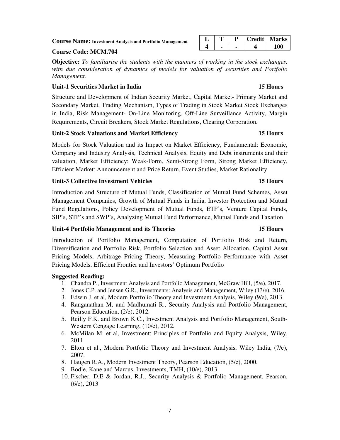### **Course Name: Investment Analysis and Portfolio Management**

### **Course Code: MCM.704**

**Objective:** *To familiarise the students with the manners of working in the stock exchanges, with due consideration of dynamics of models for valuation of securities and Portfolio Management.* 

### **Unit-1 Securities Market in India 15 Hours**

Structure and Development of Indian Security Market, Capital Market- Primary Market and Secondary Market, Trading Mechanism, Types of Trading in Stock Market Stock Exchanges in India, Risk Management- On-Line Monitoring, Off-Line Surveillance Activity, Margin Requirements, Circuit Breakers, Stock Market Regulations, Clearing Corporation.

### **Unit-2 Stock Valuations and Market Efficiency 15 Hours**

Models for Stock Valuation and its Impact on Market Efficiency, Fundamental: Economic, Company and Industry Analysis, Technical Analysis, Equity and Debt instruments and their valuation, Market Efficiency: Weak-Form, Semi-Strong Form, Strong Market Efficiency, Efficient Market: Announcement and Price Return, Event Studies, Market Rationality

### **Unit-3 Collective Investment Vehicles 15 Hours**

Introduction and Structure of Mutual Funds, Classification of Mutual Fund Schemes, Asset Management Companies, Growth of Mutual Funds in India, Investor Protection and Mutual Fund Regulations, Policy Development of Mutual Funds, ETF's, Venture Capital Funds, SIP's, STP's and SWP's, Analyzing Mutual Fund Performance, Mutual Funds and Taxation

### **Unit-4 Portfolio Management and its Theories 15 Hours**

Introduction of Portfolio Management, Computation of Portfolio Risk and Return, Diversification and Portfolio Risk, Portfolio Selection and Asset Allocation, Capital Asset Pricing Models, Arbitrage Pricing Theory, Measuring Portfolio Performance with Asset Pricing Models, Efficient Frontier and Investors' Optimum Portfolio

### **Suggested Reading:**

- 1. Chandra P., Investment Analysis and Portfolio Management, McGraw Hill, (5/e), 2017.
- 2. Jones C.P. and Jensen G.R., Investments: Analysis and Management, Wiley (13/e), 2016.
- 3. Edwin J. et al, Modern Portfolio Theory and Investment Analysis, Wiley (9/e), 2013.
- 4. Ranganathan M, and Madhumati R., Security Analysis and Portfolio Management, Pearson Education, (2/e), 2012.
- 5. Reilly F.K. and Brown K.C., Investment Analysis and Portfolio Management, South-Western Cengage Learning, (10/e), 2012.
- 6. McMilan M. et al, Investment: Principles of Portfolio and Equity Analysis, Wiley, 2011.
- 7. Elton et al., Modern Portfolio Theory and Investment Analysis, Wiley India, (7/e), 2007.
- 8. Haugen R.A., Modern Investment Theory, Pearson Education, (5/e), 2000.
- 9. Bodie, Kane and Marcus, Investments, TMH, (10/e), 2013
- 10. Fischer, D.E & Jordan, R.J., Security Analysis & Portfolio Management, Pearson, (6/e), 2013

### **L T P Credit Marks 4 - - 4 100**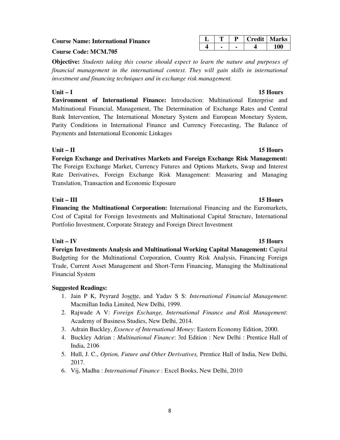### **Course Name: International Finance**

### **Course Code: MCM.705**

**Objective:** *Students taking this course should expect to learn the nature and purposes of financial management in the international context. They will gain skills in international investment and financing techniques and in exchange risk management.* 

# **Unit – I 15 Hours**

**Environment of International Finance:** Introduction: Multinational Enterprise and Multinational Financial, Management, The Determination of Exchange Rates and Central Bank Intervention, The International Monetary System and European Monetary System, Parity Conditions in International Finance and Currency Forecasting, The Balance of Payments and International Economic Linkages

# **Unit – II 15 Hours**

**Foreign Exchange and Derivatives Markets and Foreign Exchange Risk Management:**  The Foreign Exchange Market, Currency Futures and Options Markets, Swap and Interest Rate Derivatives, Foreign Exchange Risk Management: Measuring and Managing Translation, Transaction and Economic Exposure

# Unit – III 15 Hours

**Financing the Multinational Corporation:** International Financing and the Euromarkets, Cost of Capital for Foreign Investments and Multinational Capital Structure, International Portfolio Investment, Corporate Strategy and Foreign Direct Investment

# **Unit – IV 15 Hours**

**Foreign Investments Analysis and Multinational Working Capital Management:** Capital Budgeting for the Multinational Corporation, Country Risk Analysis, Financing Foreign Trade, Current Asset Management and Short-Term Financing, Managing the Multinational Financial System

# **Suggested Readings:**

- 1. Jain P K, Peyrard Josette, and Yadav S S: *International Financial Management*: Macmillan India Limited, New Delhi, 1999.
- 2. Rajwade A V: *Foreign Exchange, International Finance and Risk Management*: Academy of Business Studies, New Delhi, 2014.
- 3. Adrain Buckley, *Essence of International Money:* Eastern Economy Edition, 2000.
- 4. Buckley Adrian : *Multinational Finance*: 3rd Edition : New Delhi : Prentice Hall of India, 2106
- 5. Hull, J. C., *Option, Future and Other Derivatives,* Prentice Hall of India, New Delhi, 2017.
- 6. Vij, Madhu : *International Finance* : Excel Books, New Delhi, 2010

**L T P Credit Marks 4 - - 4 100**